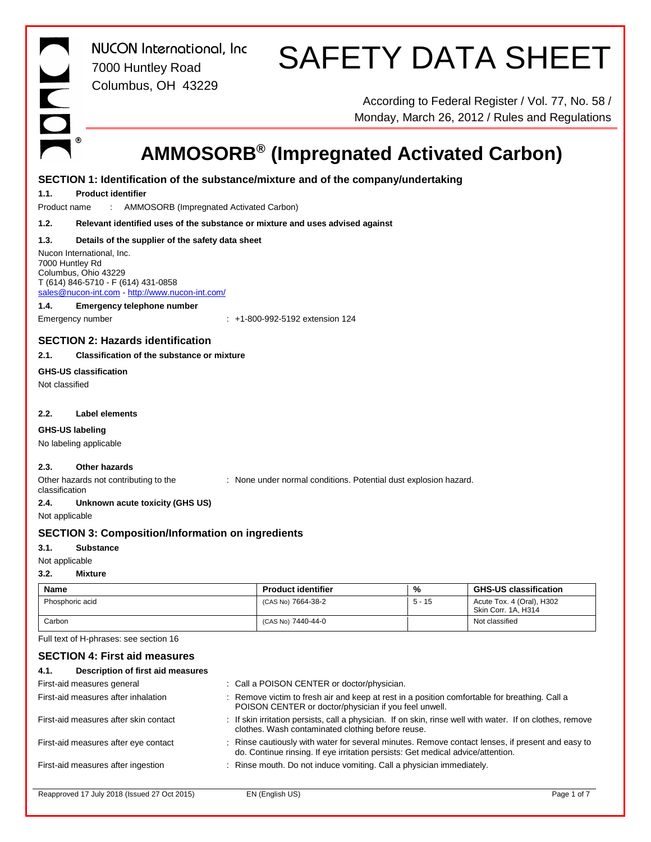INDE

*NUCON International, Inc* 7000 Huntley Road Columbus, OH 43229

# SAFETY DATA SHEET

According to Federal Register / Vol. 77, No. 58 / Monday, March 26, 2012 / Rules and Regulations

# **AMMOSORB® (Impregnated Activated Carbon)**

|                | SECTION 1: Identification of the substance/mixture and of the company/undertaking                                                                            |                                                                                                                                                        |          |                                                                                                           |
|----------------|--------------------------------------------------------------------------------------------------------------------------------------------------------------|--------------------------------------------------------------------------------------------------------------------------------------------------------|----------|-----------------------------------------------------------------------------------------------------------|
| 1.1.           | <b>Product identifier</b>                                                                                                                                    |                                                                                                                                                        |          |                                                                                                           |
| Product name   | AMMOSORB (Impregnated Activated Carbon)                                                                                                                      |                                                                                                                                                        |          |                                                                                                           |
| 1.2.           | Relevant identified uses of the substance or mixture and uses advised against                                                                                |                                                                                                                                                        |          |                                                                                                           |
| 1.3.           | Details of the supplier of the safety data sheet                                                                                                             |                                                                                                                                                        |          |                                                                                                           |
|                | Nucon International, Inc.<br>7000 Huntley Rd<br>Columbus, Ohio 43229<br>T (614) 846-5710 - F (614) 431-0858<br>sales@nucon-int.com http://www.nucon-int.com/ |                                                                                                                                                        |          |                                                                                                           |
| 1.4.           | <b>Emergency telephone number</b>                                                                                                                            |                                                                                                                                                        |          |                                                                                                           |
|                | Emergency number                                                                                                                                             | $+1-800-992-5192$ extension 124                                                                                                                        |          |                                                                                                           |
|                | <b>SECTION 2: Hazards identification</b>                                                                                                                     |                                                                                                                                                        |          |                                                                                                           |
| 2.1.           | <b>Classification of the substance or mixture</b>                                                                                                            |                                                                                                                                                        |          |                                                                                                           |
|                | <b>GHS-US classification</b>                                                                                                                                 |                                                                                                                                                        |          |                                                                                                           |
| Not classified |                                                                                                                                                              |                                                                                                                                                        |          |                                                                                                           |
| 2.2.           | <b>Label elements</b>                                                                                                                                        |                                                                                                                                                        |          |                                                                                                           |
|                | GHS-US labeling                                                                                                                                              |                                                                                                                                                        |          |                                                                                                           |
|                | No labeling applicable                                                                                                                                       |                                                                                                                                                        |          |                                                                                                           |
| 2.3.           | <b>Other hazards</b>                                                                                                                                         |                                                                                                                                                        |          |                                                                                                           |
| classification | Other hazards not contributing to the                                                                                                                        | : None under normal conditions. Potential dust explosion hazard.                                                                                       |          |                                                                                                           |
| 2.4.           | Unknown acute toxicity (GHS US)                                                                                                                              |                                                                                                                                                        |          |                                                                                                           |
| Not applicable |                                                                                                                                                              |                                                                                                                                                        |          |                                                                                                           |
|                | <b>SECTION 3: Composition/Information on ingredients</b>                                                                                                     |                                                                                                                                                        |          |                                                                                                           |
| 3.1.           | <b>Substance</b>                                                                                                                                             |                                                                                                                                                        |          |                                                                                                           |
|                | Not applicable                                                                                                                                               |                                                                                                                                                        |          |                                                                                                           |
| 3.2.           | <b>Mixture</b>                                                                                                                                               |                                                                                                                                                        |          |                                                                                                           |
| <b>Name</b>    |                                                                                                                                                              | <b>Product identifier</b>                                                                                                                              | %        | <b>GHS-US classification</b>                                                                              |
|                | Phosphoric acid                                                                                                                                              | (CAS No) 7664-38-2                                                                                                                                     | $5 - 15$ | Acute Tox. 4 (Oral), H302<br>Skin Corr. 1A, H314                                                          |
| Carbon         |                                                                                                                                                              | (CAS No) 7440-44-0                                                                                                                                     |          | Not classified                                                                                            |
|                | Full text of H-phrases: see section 16                                                                                                                       |                                                                                                                                                        |          |                                                                                                           |
|                | <b>SECTION 4: First aid measures</b>                                                                                                                         |                                                                                                                                                        |          |                                                                                                           |
| 4.1.           | Description of first aid measures                                                                                                                            |                                                                                                                                                        |          |                                                                                                           |
|                | First-aid measures general                                                                                                                                   | : Call a POISON CENTER or doctor/physician.                                                                                                            |          |                                                                                                           |
|                | First-aid measures after inhalation                                                                                                                          | : Remove victim to fresh air and keep at rest in a position comfortable for breathing. Call a<br>POISON CENTER or doctor/physician if you feel unwell. |          |                                                                                                           |
|                | First-aid measures after skin contact                                                                                                                        | clothes. Wash contaminated clothing before reuse.                                                                                                      |          | : If skin irritation persists, call a physician. If on skin, rinse well with water. If on clothes, remove |
|                | First-aid measures after eye contact                                                                                                                         | do. Continue rinsing. If eye irritation persists: Get medical advice/attention.                                                                        |          | : Rinse cautiously with water for several minutes. Remove contact lenses, if present and easy to          |
|                | First-aid measures after ingestion                                                                                                                           | Rinse mouth. Do not induce vomiting. Call a physician immediately.                                                                                     |          |                                                                                                           |

Reapproved 17 July 2018 (Issued 27 Oct 2015) EN (English US) **ENGLISH CONVERTS 2018** Page 1 of 7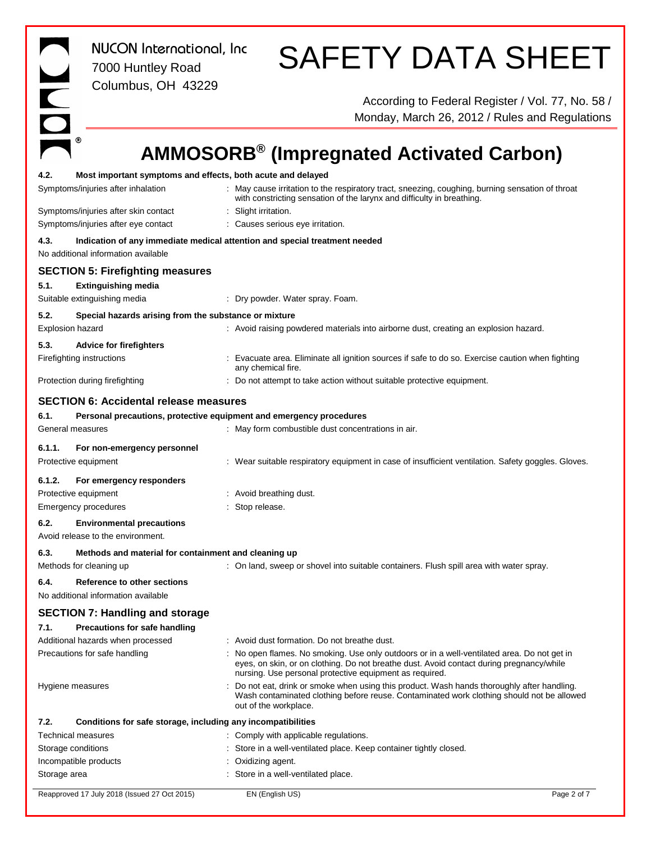*NUCON International, Inc* 7000 Huntley Road Columbus, OH 43229 SAFETY DATA SHEET According to Federal Register / Vol. 77, No. 58 / Monday, March 26, 2012 / Rules and Regulations **AMMOSORB® (Impregnated Activated Carbon)** Reapproved 17 July 2018 (Issued 27 Oct 2015) EN (English US) Page 2 of 7 **4.2. Most important symptoms and effects, both acute and delayed** Symptoms/injuries after inhalation : May cause irritation to the respiratory tract, sneezing, coughing, burning sensation of throat with constricting sensation of the larynx and difficulty in breathing. Symptoms/injuries after skin contact : Slight irritation. Symptoms/injuries after eye contact : Causes serious eye irritation. **4.3. Indication of any immediate medical attention and special treatment needed** No additional information available **SECTION 5: Firefighting measures 5.1. Extinguishing media** Suitable extinguishing media : Dry powder. Water spray. Foam. **5.2. Special hazards arising from the substance or mixture** Explosion hazard **into a construct the Construct** of Avoid raising powdered materials into airborne dust, creating an explosion hazard. **5.3. Advice for firefighters** Firefighting instructions **included in the Contract Contract** Eliminate all ignition sources if safe to do so. Exercise caution when fighting any chemical fire. Protection during firefighting  $\therefore$  Do not attempt to take action without suitable protective equipment. **SECTION 6: Accidental release measures 6.1. Personal precautions, protective equipment and emergency procedures** General measures **Seneral measures** : May form combustible dust concentrations in air. **6.1.1. For non-emergency personnel** Protective equipment **in the suitable respiratory equipment in case of insufficient ventilation.** Safety goggles. Gloves. **6.1.2. For emergency responders** Protective equipment : Avoid breathing dust. Emergency procedures in the state of the Stop release. **6.2. Environmental precautions** Avoid release to the environment. **6.3. Methods and material for containment and cleaning up** Methods for cleaning up **interpret on the suitable containers**. Flush spill area with water spray. **6.4. Reference to other sections** No additional information available **SECTION 7: Handling and storage 7.1. Precautions for safe handling** Additional hazards when processed : Avoid dust formation. Do not breathe dust. Precautions for safe handling : No open flames. No smoking. Use only outdoors or in a well-ventilated area. Do not get in eyes, on skin, or on clothing. Do not breathe dust. Avoid contact during pregnancy/while nursing. Use personal protective equipment as required. Hygiene measures **incomponent of the state of the Constant** of smoke when using this product. Wash hands thoroughly after handling. Wash contaminated clothing before reuse. Contaminated work clothing should not be allowed out of the workplace. **7.2. Conditions for safe storage, including any incompatibilities** Technical measures **in the contract of the Comply with applicable regulations.** Storage conditions **in a well-ventilated place. Keep container tightly closed.** Store in a well-ventilated place. Keep container tightly closed. Incompatible products in the state of the control of the control of the control of the control of the control of the control of the control of the control of the control of the control of the control of the control of the Storage area **in a well-ventilated place**. Store in a well-ventilated place.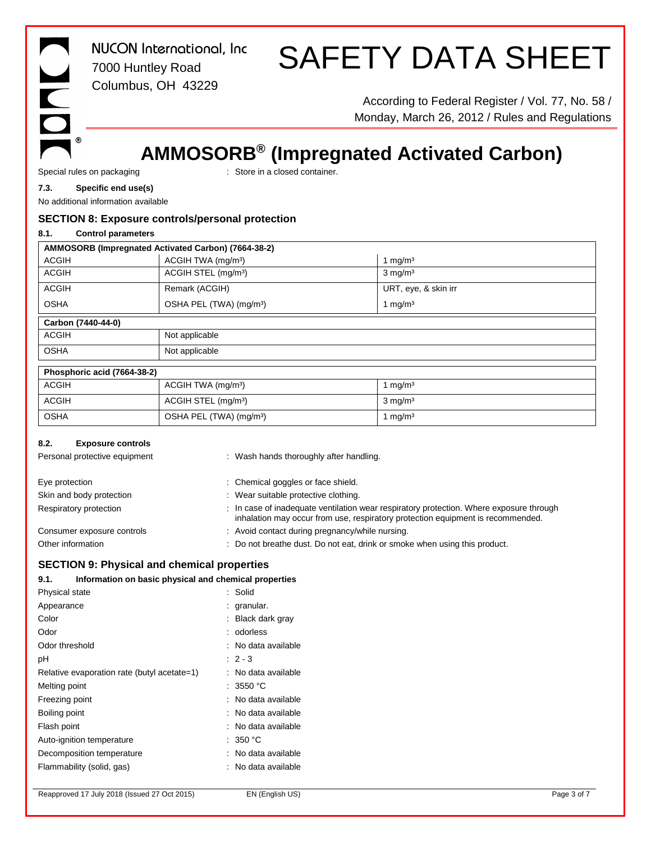$^\circledR$ 

*NUCON International, Inc* 7000 Huntley Road Columbus, OH 43229

# SAFETY DATA SHEET

According to Federal Register / Vol. 77, No. 58 / Monday, March 26, 2012 / Rules and Regulations

## **AMMOSORB® (Impregnated Activated Carbon)**

Special rules on packaging **in the state of the Store in a closed container.** 

## **7.3. Specific end use(s)**

No additional information available

### **SECTION 8: Exposure controls/personal protection**

### **8.1. Control parameters**

| AMMOSORB (Impregnated Activated Carbon) (7664-38-2) |  |
|-----------------------------------------------------|--|
|                                                     |  |

| <b>ACGIH</b>       | ACGIH TWA (mg/m <sup>3</sup> )      | I mg/m <sup>3</sup>  |  |  |
|--------------------|-------------------------------------|----------------------|--|--|
| <b>ACGIH</b>       | ACGIH STEL (mg/m <sup>3</sup> )     | $3 \text{ mg/m}^3$   |  |  |
| <b>ACGIH</b>       | Remark (ACGIH)                      | URT, eye, & skin irr |  |  |
| <b>OSHA</b>        | OSHA PEL (TWA) (mg/m <sup>3</sup> ) | mg/m <sup>3</sup>    |  |  |
| Carbon (7440-44-0) |                                     |                      |  |  |
| <b>ACGIH</b>       | Not applicable                      |                      |  |  |
| <b>OSHA</b>        | Not applicable                      |                      |  |  |
|                    |                                     |                      |  |  |

| Phosphoric acid (7664-38-2) |                                     |                    |
|-----------------------------|-------------------------------------|--------------------|
| <b>ACGIH</b>                | ACGIH TWA (mg/m <sup>3</sup> )      | mq/m <sup>3</sup>  |
| <b>ACGIH</b>                | ACGIH STEL (mg/m <sup>3</sup> )     | $3 \text{ mg/m}^3$ |
| <b>OSHA</b>                 | OSHA PEL (TWA) (mg/m <sup>3</sup> ) | mq/m <sup>3</sup>  |

#### **8.2. Exposure controls**

| Personal protective equipment | : Wash hands thoroughly after handling.                                                                                                                                    |
|-------------------------------|----------------------------------------------------------------------------------------------------------------------------------------------------------------------------|
| Eye protection                | : Chemical goggles or face shield.                                                                                                                                         |
| Skin and body protection      | : Wear suitable protective clothing.                                                                                                                                       |
| Respiratory protection        | : In case of inadequate ventilation wear respiratory protection. Where exposure through<br>inhalation may occur from use, respiratory protection equipment is recommended. |
| Consumer exposure controls    | : Avoid contact during pregnancy/while nursing.                                                                                                                            |
| Other information             | : Do not breathe dust. Do not eat, drink or smoke when using this product.                                                                                                 |

## **SECTION 9: Physical and chemical properties**

## **9.1. Information on basic physical and chemical properties**

| Physical state                              | : Solid           |
|---------------------------------------------|-------------------|
| Appearance                                  | granular.         |
| Color                                       | Black dark gray   |
| Odor                                        | odorless          |
| Odor threshold                              | No data available |
| рH                                          | $: 2 - 3$         |
| Relative evaporation rate (butyl acetate=1) | No data available |
| Melting point                               | : 3550 °C         |
| Freezing point                              | No data available |
| Boiling point                               | No data available |
| Flash point                                 | No data available |
| Auto-ignition temperature                   | : 350 °C          |
| Decomposition temperature                   | No data available |
| Flammability (solid, gas)                   | No data available |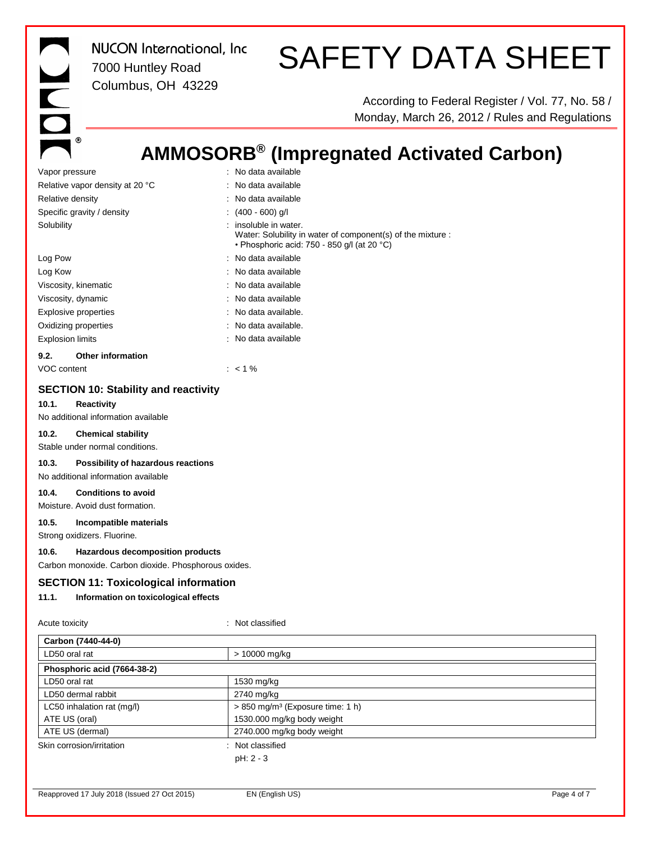DON. *NUCON International, Inc* 7000 Huntley Road Columbus, OH 43229

# SAFETY DATA SHEET

According to Federal Register / Vol. 77, No. 58 / Monday, March 26, 2012 / Rules and Regulations

## **AMMOSORB® (Impregnated Activated Carbon)**

| Vapor pressure                                                                                                                                                                                                                                                                                                                                                                                                                                                                                                                   | : No data available                                                                                                                 |  |
|----------------------------------------------------------------------------------------------------------------------------------------------------------------------------------------------------------------------------------------------------------------------------------------------------------------------------------------------------------------------------------------------------------------------------------------------------------------------------------------------------------------------------------|-------------------------------------------------------------------------------------------------------------------------------------|--|
| Relative vapor density at 20 °C                                                                                                                                                                                                                                                                                                                                                                                                                                                                                                  | : No data available                                                                                                                 |  |
| Relative density                                                                                                                                                                                                                                                                                                                                                                                                                                                                                                                 | : No data available                                                                                                                 |  |
| Specific gravity / density                                                                                                                                                                                                                                                                                                                                                                                                                                                                                                       | : $(400 - 600)$ g/l                                                                                                                 |  |
| Solubility                                                                                                                                                                                                                                                                                                                                                                                                                                                                                                                       | : insoluble in water.<br>Water: Solubility in water of component(s) of the mixture :<br>· Phosphoric acid: 750 - 850 g/l (at 20 °C) |  |
| Log Pow                                                                                                                                                                                                                                                                                                                                                                                                                                                                                                                          | : No data available                                                                                                                 |  |
| Log Kow                                                                                                                                                                                                                                                                                                                                                                                                                                                                                                                          | : No data available                                                                                                                 |  |
| Viscosity, kinematic                                                                                                                                                                                                                                                                                                                                                                                                                                                                                                             | : No data available                                                                                                                 |  |
| Viscosity, dynamic                                                                                                                                                                                                                                                                                                                                                                                                                                                                                                               | : No data available                                                                                                                 |  |
| Explosive properties                                                                                                                                                                                                                                                                                                                                                                                                                                                                                                             | : No data available.                                                                                                                |  |
| Oxidizing properties                                                                                                                                                                                                                                                                                                                                                                                                                                                                                                             | : No data available.                                                                                                                |  |
| <b>Explosion limits</b>                                                                                                                                                                                                                                                                                                                                                                                                                                                                                                          | : No data available                                                                                                                 |  |
| Other information<br>9.2.                                                                                                                                                                                                                                                                                                                                                                                                                                                                                                        |                                                                                                                                     |  |
| VOC content                                                                                                                                                                                                                                                                                                                                                                                                                                                                                                                      | $: 1\%$                                                                                                                             |  |
| <b>SECTION 10: Stability and reactivity</b><br>10.1.<br><b>Reactivity</b><br>No additional information available<br>10.2.<br><b>Chemical stability</b><br>Stable under normal conditions.<br>10.3.<br>Possibility of hazardous reactions<br>No additional information available<br>10.4.<br><b>Conditions to avoid</b><br>Moisture. Avoid dust formation.<br>10.5.<br>Incompatible materials<br>Strong oxidizers. Fluorine.<br>10.6.<br>Hazardous decomposition products<br>Carbon monoxide. Carbon dioxide. Phosphorous oxides. |                                                                                                                                     |  |
| <b>SECTION 11: Toxicological information</b>                                                                                                                                                                                                                                                                                                                                                                                                                                                                                     |                                                                                                                                     |  |
| 11.1.<br>Information on toxicological effects                                                                                                                                                                                                                                                                                                                                                                                                                                                                                    |                                                                                                                                     |  |
| Acute toxicity                                                                                                                                                                                                                                                                                                                                                                                                                                                                                                                   | : Not classified                                                                                                                    |  |
| Carbon (7440-44-0)                                                                                                                                                                                                                                                                                                                                                                                                                                                                                                               |                                                                                                                                     |  |
| LD50 oral rat                                                                                                                                                                                                                                                                                                                                                                                                                                                                                                                    | > 10000 mg/kg                                                                                                                       |  |
| Phosphoric acid (7664-38-2)                                                                                                                                                                                                                                                                                                                                                                                                                                                                                                      |                                                                                                                                     |  |
| LD50 oral rat                                                                                                                                                                                                                                                                                                                                                                                                                                                                                                                    | 1530 mg/kg                                                                                                                          |  |

LD50 dermal rabbit 2740 mg/kg

Skin corrosion/irritation : Not classified

LC50 inhalation rat (mg/l)  $\vert$  > 850 mg/m<sup>3</sup> (Exposure time: 1 h) ATE US (oral) 1530.000 mg/kg body weight ATE US (dermal) 2740.000 mg/kg body weight

pH: 2 - 3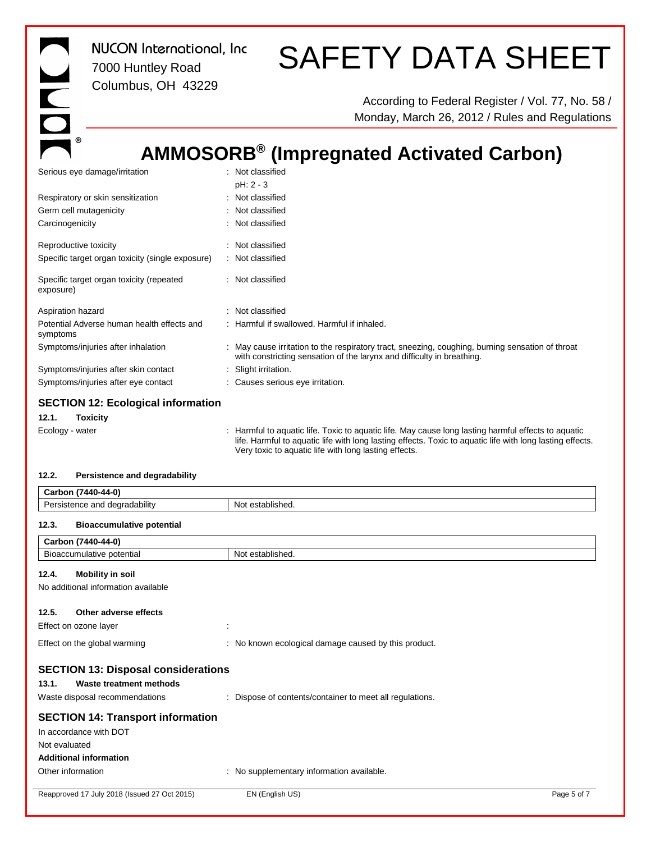*NUCON International, Inc* 7000 Huntley Road Columbus, OH 43229

# SAFETY DATA SHEET

According to Federal Register / Vol. 77, No. 58 / Monday, March 26, 2012 / Rules and Regulations

## **AMMOSORB® (Impregnated Activated Carbon)**

| Serious eye damage/irritation                          | : Not classified                                                                                                                                                                                                                                                        |
|--------------------------------------------------------|-------------------------------------------------------------------------------------------------------------------------------------------------------------------------------------------------------------------------------------------------------------------------|
| Respiratory or skin sensitization                      | pH: 2 - 3<br>: Not classified                                                                                                                                                                                                                                           |
| Germ cell mutagenicity                                 | : Not classified                                                                                                                                                                                                                                                        |
| Carcinogenicity                                        | : Not classified                                                                                                                                                                                                                                                        |
| Reproductive toxicity                                  | : Not classified                                                                                                                                                                                                                                                        |
| Specific target organ toxicity (single exposure)       | : Not classified                                                                                                                                                                                                                                                        |
| Specific target organ toxicity (repeated<br>exposure)  | : Not classified                                                                                                                                                                                                                                                        |
| Aspiration hazard                                      | : Not classified                                                                                                                                                                                                                                                        |
| Potential Adverse human health effects and<br>symptoms | : Harmful if swallowed. Harmful if inhaled.                                                                                                                                                                                                                             |
| Symptoms/injuries after inhalation                     | May cause irritation to the respiratory tract, sneezing, coughing, burning sensation of throat<br>with constricting sensation of the larynx and difficulty in breathing.                                                                                                |
| Symptoms/injuries after skin contact                   | Slight irritation.                                                                                                                                                                                                                                                      |
| Symptoms/injuries after eye contact                    | : Causes serious eye irritation.                                                                                                                                                                                                                                        |
| <b>SECTION 12: Ecological information</b>              |                                                                                                                                                                                                                                                                         |
| Toxicity<br>12.1.                                      |                                                                                                                                                                                                                                                                         |
| Ecology - water                                        | Harmful to aquatic life. Toxic to aquatic life. May cause long lasting harmful effects to aquatic<br>life. Harmful to aquatic life with long lasting effects. Toxic to aquatic life with long lasting effects.<br>Very toxic to aquatic life with long lasting effects. |

### **12.2. Persistence and degradability**

|                                                                                                                      | Carbon (7440-44-0)                             |                                                        |             |
|----------------------------------------------------------------------------------------------------------------------|------------------------------------------------|--------------------------------------------------------|-------------|
|                                                                                                                      | Persistence and degradability                  | Not established.                                       |             |
| <b>Bioaccumulative potential</b><br>12.3.                                                                            |                                                |                                                        |             |
|                                                                                                                      | Carbon (7440-44-0)                             |                                                        |             |
|                                                                                                                      | Bioaccumulative potential                      | Not established.                                       |             |
| 12.4.                                                                                                                | <b>Mobility in soil</b>                        |                                                        |             |
|                                                                                                                      | No additional information available            |                                                        |             |
| 12.5.                                                                                                                | Other adverse effects<br>Effect on ozone layer | ÷                                                      |             |
|                                                                                                                      | Effect on the global warming                   | : No known ecological damage caused by this product.   |             |
| <b>SECTION 13: Disposal considerations</b><br>Waste treatment methods<br>13.1.<br>Waste disposal recommendations     |                                                | Dispose of contents/container to meet all regulations. |             |
| <b>SECTION 14: Transport information</b><br>In accordance with DOT<br>Not evaluated<br><b>Additional information</b> |                                                |                                                        |             |
|                                                                                                                      | Other information                              | No supplementary information available.                |             |
|                                                                                                                      | Reapproved 17 July 2018 (Issued 27 Oct 2015)   | EN (English US)                                        | Page 5 of 7 |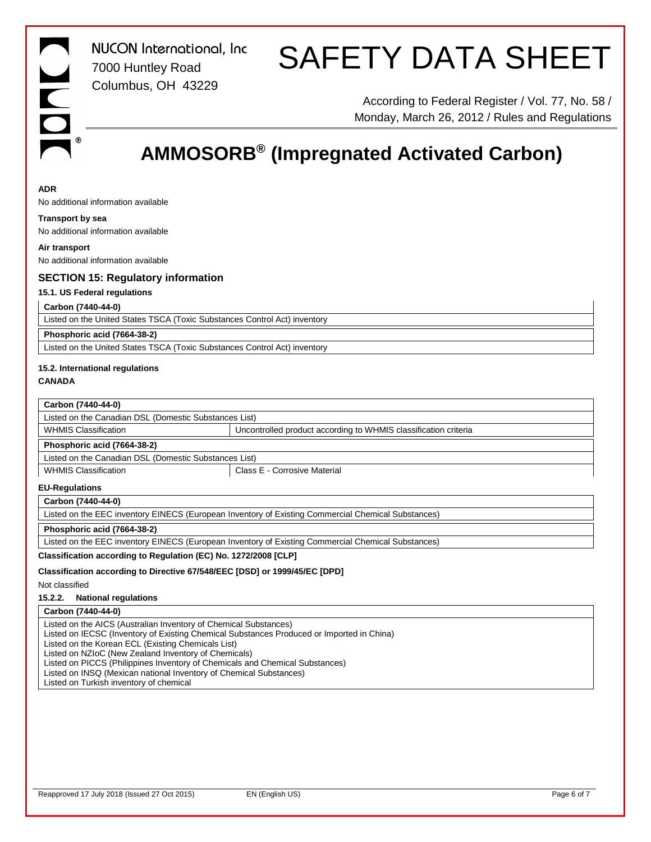*NUCON International, Inc* 7000 Huntley Road Columbus, OH 43229

# SAFETY DATA SHEET

According to Federal Register / Vol. 77, No. 58 / Monday, March 26, 2012 / Rules and Regulations

# **AMMOSORB® (Impregnated Activated Carbon)**

#### **ADR**

No additional information available

#### **Transport by sea**

No additional information available

**Air transport** No additional information available

#### **SECTION 15: Regulatory information**

#### **15.1. US Federal regulations**

#### **Carbon (7440-44-0)**

Listed on the United States TSCA (Toxic Substances Control Act) inventory

#### **Phosphoric acid (7664-38-2)**

Listed on the United States TSCA (Toxic Substances Control Act) inventory

## **15.2. International regulations**

**CANADA**

### **Carbon (7440-44-0)**

Listed on the Canadian DSL (Domestic Substances List) WHMIS Classification **VELOC** Uncontrolled product according to WHMIS classification criteria

#### **Phosphoric acid (7664-38-2)**

Listed on the Canadian DSL (Domestic Substances List)

WHMIS Classification  $\vert$  Class E - Corrosive Material

#### **EU-Regulations**

#### **Carbon (7440-44-0)**

Listed on the EEC inventory EINECS (European Inventory of Existing Commercial Chemical Substances)

#### **Phosphoric acid (7664-38-2)**

Listed on the EEC inventory EINECS (European Inventory of Existing Commercial Chemical Substances)

#### **Classification according to Regulation (EC) No. 1272/2008 [CLP]**

#### **Classification according to Directive 67/548/EEC [DSD] or 1999/45/EC [DPD]**

Not classified

#### **15.2.2. National regulations**

#### **Carbon (7440-44-0)**

Listed on the AICS (Australian Inventory of Chemical Substances)

Listed on IECSC (Inventory of Existing Chemical Substances Produced or Imported in China)

Listed on the Korean ECL (Existing Chemicals List)

Listed on NZIoC (New Zealand Inventory of Chemicals)

Listed on PICCS (Philippines Inventory of Chemicals and Chemical Substances)

Listed on INSQ (Mexican national Inventory of Chemical Substances)

Listed on Turkish inventory of chemical